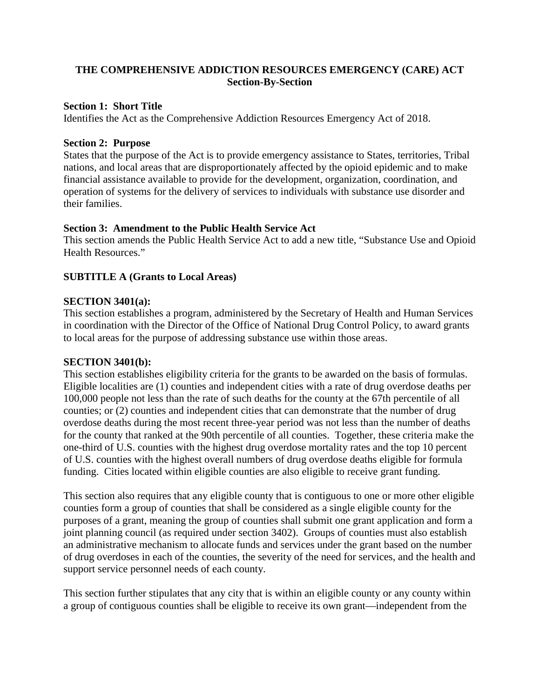# **THE COMPREHENSIVE ADDICTION RESOURCES EMERGENCY (CARE) ACT Section-By-Section**

## **Section 1: Short Title**

Identifies the Act as the Comprehensive Addiction Resources Emergency Act of 2018.

## **Section 2: Purpose**

States that the purpose of the Act is to provide emergency assistance to States, territories, Tribal nations, and local areas that are disproportionately affected by the opioid epidemic and to make financial assistance available to provide for the development, organization, coordination, and operation of systems for the delivery of services to individuals with substance use disorder and their families.

# **Section 3: Amendment to the Public Health Service Act**

This section amends the Public Health Service Act to add a new title, "Substance Use and Opioid Health Resources."

# **SUBTITLE A (Grants to Local Areas)**

## **SECTION 3401(a):**

This section establishes a program, administered by the Secretary of Health and Human Services in coordination with the Director of the Office of National Drug Control Policy, to award grants to local areas for the purpose of addressing substance use within those areas.

# **SECTION 3401(b):**

This section establishes eligibility criteria for the grants to be awarded on the basis of formulas. Eligible localities are (1) counties and independent cities with a rate of drug overdose deaths per 100,000 people not less than the rate of such deaths for the county at the 67th percentile of all counties; or (2) counties and independent cities that can demonstrate that the number of drug overdose deaths during the most recent three-year period was not less than the number of deaths for the county that ranked at the 90th percentile of all counties. Together, these criteria make the one-third of U.S. counties with the highest drug overdose mortality rates and the top 10 percent of U.S. counties with the highest overall numbers of drug overdose deaths eligible for formula funding. Cities located within eligible counties are also eligible to receive grant funding.

This section also requires that any eligible county that is contiguous to one or more other eligible counties form a group of counties that shall be considered as a single eligible county for the purposes of a grant, meaning the group of counties shall submit one grant application and form a joint planning council (as required under section 3402). Groups of counties must also establish an administrative mechanism to allocate funds and services under the grant based on the number of drug overdoses in each of the counties, the severity of the need for services, and the health and support service personnel needs of each county.

This section further stipulates that any city that is within an eligible county or any county within a group of contiguous counties shall be eligible to receive its own grant—independent from the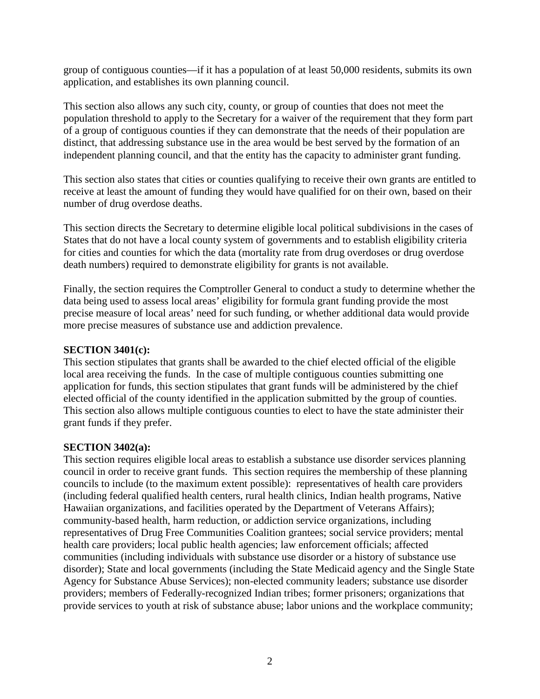group of contiguous counties—if it has a population of at least 50,000 residents, submits its own application, and establishes its own planning council.

This section also allows any such city, county, or group of counties that does not meet the population threshold to apply to the Secretary for a waiver of the requirement that they form part of a group of contiguous counties if they can demonstrate that the needs of their population are distinct, that addressing substance use in the area would be best served by the formation of an independent planning council, and that the entity has the capacity to administer grant funding.

This section also states that cities or counties qualifying to receive their own grants are entitled to receive at least the amount of funding they would have qualified for on their own, based on their number of drug overdose deaths.

This section directs the Secretary to determine eligible local political subdivisions in the cases of States that do not have a local county system of governments and to establish eligibility criteria for cities and counties for which the data (mortality rate from drug overdoses or drug overdose death numbers) required to demonstrate eligibility for grants is not available.

Finally, the section requires the Comptroller General to conduct a study to determine whether the data being used to assess local areas' eligibility for formula grant funding provide the most precise measure of local areas' need for such funding, or whether additional data would provide more precise measures of substance use and addiction prevalence.

### **SECTION 3401(c):**

This section stipulates that grants shall be awarded to the chief elected official of the eligible local area receiving the funds. In the case of multiple contiguous counties submitting one application for funds, this section stipulates that grant funds will be administered by the chief elected official of the county identified in the application submitted by the group of counties. This section also allows multiple contiguous counties to elect to have the state administer their grant funds if they prefer.

### **SECTION 3402(a):**

This section requires eligible local areas to establish a substance use disorder services planning council in order to receive grant funds. This section requires the membership of these planning councils to include (to the maximum extent possible): representatives of health care providers (including federal qualified health centers, rural health clinics, Indian health programs, Native Hawaiian organizations, and facilities operated by the Department of Veterans Affairs); community-based health, harm reduction, or addiction service organizations, including representatives of Drug Free Communities Coalition grantees; social service providers; mental health care providers; local public health agencies; law enforcement officials; affected communities (including individuals with substance use disorder or a history of substance use disorder); State and local governments (including the State Medicaid agency and the Single State Agency for Substance Abuse Services); non-elected community leaders; substance use disorder providers; members of Federally-recognized Indian tribes; former prisoners; organizations that provide services to youth at risk of substance abuse; labor unions and the workplace community;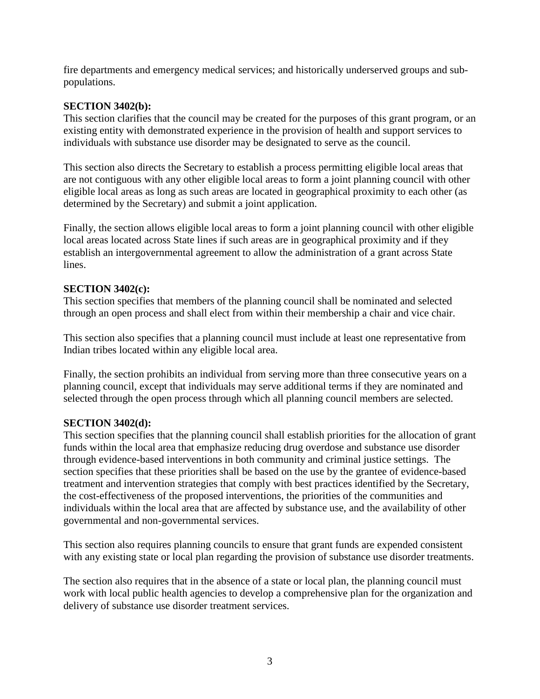fire departments and emergency medical services; and historically underserved groups and subpopulations.

## **SECTION 3402(b):**

This section clarifies that the council may be created for the purposes of this grant program, or an existing entity with demonstrated experience in the provision of health and support services to individuals with substance use disorder may be designated to serve as the council.

This section also directs the Secretary to establish a process permitting eligible local areas that are not contiguous with any other eligible local areas to form a joint planning council with other eligible local areas as long as such areas are located in geographical proximity to each other (as determined by the Secretary) and submit a joint application.

Finally, the section allows eligible local areas to form a joint planning council with other eligible local areas located across State lines if such areas are in geographical proximity and if they establish an intergovernmental agreement to allow the administration of a grant across State lines.

## **SECTION 3402(c):**

This section specifies that members of the planning council shall be nominated and selected through an open process and shall elect from within their membership a chair and vice chair.

This section also specifies that a planning council must include at least one representative from Indian tribes located within any eligible local area.

Finally, the section prohibits an individual from serving more than three consecutive years on a planning council, except that individuals may serve additional terms if they are nominated and selected through the open process through which all planning council members are selected.

# **SECTION 3402(d):**

This section specifies that the planning council shall establish priorities for the allocation of grant funds within the local area that emphasize reducing drug overdose and substance use disorder through evidence-based interventions in both community and criminal justice settings. The section specifies that these priorities shall be based on the use by the grantee of evidence-based treatment and intervention strategies that comply with best practices identified by the Secretary, the cost-effectiveness of the proposed interventions, the priorities of the communities and individuals within the local area that are affected by substance use, and the availability of other governmental and non-governmental services.

This section also requires planning councils to ensure that grant funds are expended consistent with any existing state or local plan regarding the provision of substance use disorder treatments.

The section also requires that in the absence of a state or local plan, the planning council must work with local public health agencies to develop a comprehensive plan for the organization and delivery of substance use disorder treatment services.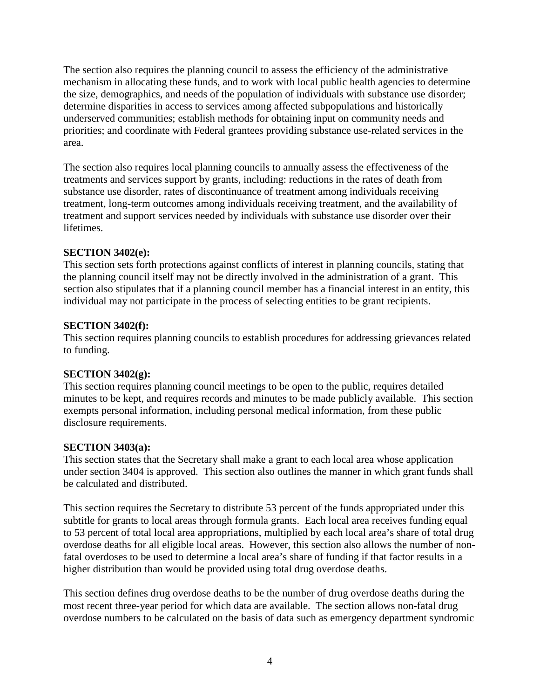The section also requires the planning council to assess the efficiency of the administrative mechanism in allocating these funds, and to work with local public health agencies to determine the size, demographics, and needs of the population of individuals with substance use disorder; determine disparities in access to services among affected subpopulations and historically underserved communities; establish methods for obtaining input on community needs and priorities; and coordinate with Federal grantees providing substance use-related services in the area.

The section also requires local planning councils to annually assess the effectiveness of the treatments and services support by grants, including: reductions in the rates of death from substance use disorder, rates of discontinuance of treatment among individuals receiving treatment, long-term outcomes among individuals receiving treatment, and the availability of treatment and support services needed by individuals with substance use disorder over their lifetimes.

# **SECTION 3402(e):**

This section sets forth protections against conflicts of interest in planning councils, stating that the planning council itself may not be directly involved in the administration of a grant. This section also stipulates that if a planning council member has a financial interest in an entity, this individual may not participate in the process of selecting entities to be grant recipients.

## **SECTION 3402(f):**

This section requires planning councils to establish procedures for addressing grievances related to funding.

### **SECTION 3402(g):**

This section requires planning council meetings to be open to the public, requires detailed minutes to be kept, and requires records and minutes to be made publicly available. This section exempts personal information, including personal medical information, from these public disclosure requirements.

### **SECTION 3403(a):**

This section states that the Secretary shall make a grant to each local area whose application under section 3404 is approved. This section also outlines the manner in which grant funds shall be calculated and distributed.

This section requires the Secretary to distribute 53 percent of the funds appropriated under this subtitle for grants to local areas through formula grants. Each local area receives funding equal to 53 percent of total local area appropriations, multiplied by each local area's share of total drug overdose deaths for all eligible local areas. However, this section also allows the number of nonfatal overdoses to be used to determine a local area's share of funding if that factor results in a higher distribution than would be provided using total drug overdose deaths.

This section defines drug overdose deaths to be the number of drug overdose deaths during the most recent three-year period for which data are available. The section allows non-fatal drug overdose numbers to be calculated on the basis of data such as emergency department syndromic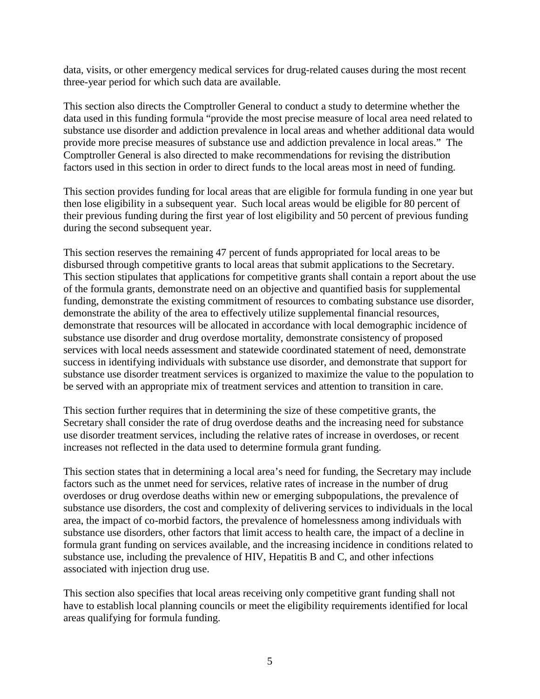data, visits, or other emergency medical services for drug-related causes during the most recent three-year period for which such data are available.

This section also directs the Comptroller General to conduct a study to determine whether the data used in this funding formula "provide the most precise measure of local area need related to substance use disorder and addiction prevalence in local areas and whether additional data would provide more precise measures of substance use and addiction prevalence in local areas." The Comptroller General is also directed to make recommendations for revising the distribution factors used in this section in order to direct funds to the local areas most in need of funding.

This section provides funding for local areas that are eligible for formula funding in one year but then lose eligibility in a subsequent year. Such local areas would be eligible for 80 percent of their previous funding during the first year of lost eligibility and 50 percent of previous funding during the second subsequent year.

This section reserves the remaining 47 percent of funds appropriated for local areas to be disbursed through competitive grants to local areas that submit applications to the Secretary. This section stipulates that applications for competitive grants shall contain a report about the use of the formula grants, demonstrate need on an objective and quantified basis for supplemental funding, demonstrate the existing commitment of resources to combating substance use disorder, demonstrate the ability of the area to effectively utilize supplemental financial resources, demonstrate that resources will be allocated in accordance with local demographic incidence of substance use disorder and drug overdose mortality, demonstrate consistency of proposed services with local needs assessment and statewide coordinated statement of need, demonstrate success in identifying individuals with substance use disorder, and demonstrate that support for substance use disorder treatment services is organized to maximize the value to the population to be served with an appropriate mix of treatment services and attention to transition in care.

This section further requires that in determining the size of these competitive grants, the Secretary shall consider the rate of drug overdose deaths and the increasing need for substance use disorder treatment services, including the relative rates of increase in overdoses, or recent increases not reflected in the data used to determine formula grant funding.

This section states that in determining a local area's need for funding, the Secretary may include factors such as the unmet need for services, relative rates of increase in the number of drug overdoses or drug overdose deaths within new or emerging subpopulations, the prevalence of substance use disorders, the cost and complexity of delivering services to individuals in the local area, the impact of co-morbid factors, the prevalence of homelessness among individuals with substance use disorders, other factors that limit access to health care, the impact of a decline in formula grant funding on services available, and the increasing incidence in conditions related to substance use, including the prevalence of HIV, Hepatitis B and C, and other infections associated with injection drug use.

This section also specifies that local areas receiving only competitive grant funding shall not have to establish local planning councils or meet the eligibility requirements identified for local areas qualifying for formula funding.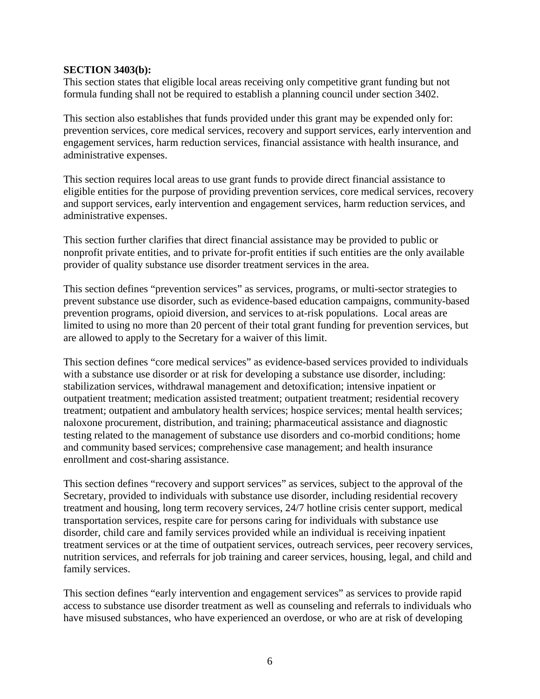#### **SECTION 3403(b):**

This section states that eligible local areas receiving only competitive grant funding but not formula funding shall not be required to establish a planning council under section 3402.

This section also establishes that funds provided under this grant may be expended only for: prevention services, core medical services, recovery and support services, early intervention and engagement services, harm reduction services, financial assistance with health insurance, and administrative expenses.

This section requires local areas to use grant funds to provide direct financial assistance to eligible entities for the purpose of providing prevention services, core medical services, recovery and support services, early intervention and engagement services, harm reduction services, and administrative expenses.

This section further clarifies that direct financial assistance may be provided to public or nonprofit private entities, and to private for-profit entities if such entities are the only available provider of quality substance use disorder treatment services in the area.

This section defines "prevention services" as services, programs, or multi-sector strategies to prevent substance use disorder, such as evidence-based education campaigns, community-based prevention programs, opioid diversion, and services to at-risk populations. Local areas are limited to using no more than 20 percent of their total grant funding for prevention services, but are allowed to apply to the Secretary for a waiver of this limit.

This section defines "core medical services" as evidence-based services provided to individuals with a substance use disorder or at risk for developing a substance use disorder, including: stabilization services, withdrawal management and detoxification; intensive inpatient or outpatient treatment; medication assisted treatment; outpatient treatment; residential recovery treatment; outpatient and ambulatory health services; hospice services; mental health services; naloxone procurement, distribution, and training; pharmaceutical assistance and diagnostic testing related to the management of substance use disorders and co-morbid conditions; home and community based services; comprehensive case management; and health insurance enrollment and cost-sharing assistance.

This section defines "recovery and support services" as services, subject to the approval of the Secretary, provided to individuals with substance use disorder, including residential recovery treatment and housing, long term recovery services, 24/7 hotline crisis center support, medical transportation services, respite care for persons caring for individuals with substance use disorder, child care and family services provided while an individual is receiving inpatient treatment services or at the time of outpatient services, outreach services, peer recovery services, nutrition services, and referrals for job training and career services, housing, legal, and child and family services.

This section defines "early intervention and engagement services" as services to provide rapid access to substance use disorder treatment as well as counseling and referrals to individuals who have misused substances, who have experienced an overdose, or who are at risk of developing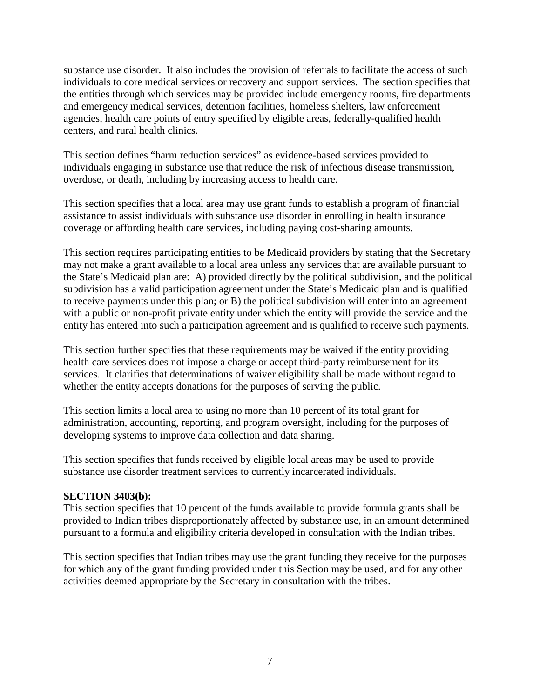substance use disorder. It also includes the provision of referrals to facilitate the access of such individuals to core medical services or recovery and support services. The section specifies that the entities through which services may be provided include emergency rooms, fire departments and emergency medical services, detention facilities, homeless shelters, law enforcement agencies, health care points of entry specified by eligible areas, federally-qualified health centers, and rural health clinics.

This section defines "harm reduction services" as evidence-based services provided to individuals engaging in substance use that reduce the risk of infectious disease transmission, overdose, or death, including by increasing access to health care.

This section specifies that a local area may use grant funds to establish a program of financial assistance to assist individuals with substance use disorder in enrolling in health insurance coverage or affording health care services, including paying cost-sharing amounts.

This section requires participating entities to be Medicaid providers by stating that the Secretary may not make a grant available to a local area unless any services that are available pursuant to the State's Medicaid plan are: A) provided directly by the political subdivision, and the political subdivision has a valid participation agreement under the State's Medicaid plan and is qualified to receive payments under this plan; or B) the political subdivision will enter into an agreement with a public or non-profit private entity under which the entity will provide the service and the entity has entered into such a participation agreement and is qualified to receive such payments.

This section further specifies that these requirements may be waived if the entity providing health care services does not impose a charge or accept third-party reimbursement for its services. It clarifies that determinations of waiver eligibility shall be made without regard to whether the entity accepts donations for the purposes of serving the public.

This section limits a local area to using no more than 10 percent of its total grant for administration, accounting, reporting, and program oversight, including for the purposes of developing systems to improve data collection and data sharing.

This section specifies that funds received by eligible local areas may be used to provide substance use disorder treatment services to currently incarcerated individuals.

### **SECTION 3403(b):**

This section specifies that 10 percent of the funds available to provide formula grants shall be provided to Indian tribes disproportionately affected by substance use, in an amount determined pursuant to a formula and eligibility criteria developed in consultation with the Indian tribes.

This section specifies that Indian tribes may use the grant funding they receive for the purposes for which any of the grant funding provided under this Section may be used, and for any other activities deemed appropriate by the Secretary in consultation with the tribes.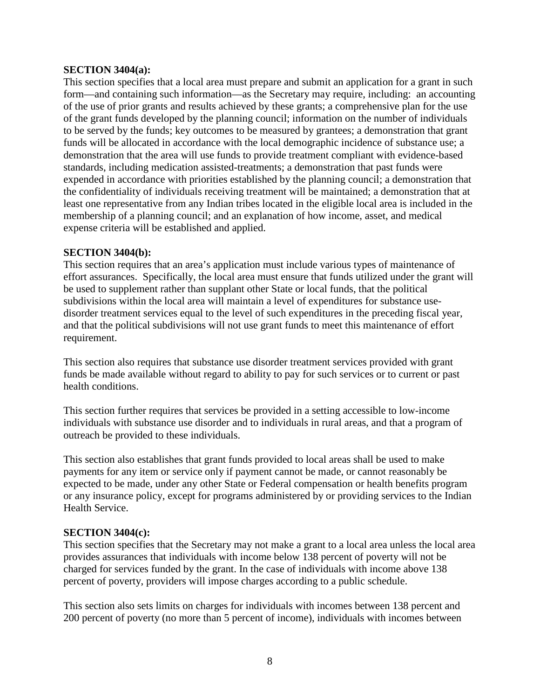### **SECTION 3404(a):**

This section specifies that a local area must prepare and submit an application for a grant in such form—and containing such information—as the Secretary may require, including: an accounting of the use of prior grants and results achieved by these grants; a comprehensive plan for the use of the grant funds developed by the planning council; information on the number of individuals to be served by the funds; key outcomes to be measured by grantees; a demonstration that grant funds will be allocated in accordance with the local demographic incidence of substance use; a demonstration that the area will use funds to provide treatment compliant with evidence-based standards, including medication assisted-treatments; a demonstration that past funds were expended in accordance with priorities established by the planning council; a demonstration that the confidentiality of individuals receiving treatment will be maintained; a demonstration that at least one representative from any Indian tribes located in the eligible local area is included in the membership of a planning council; and an explanation of how income, asset, and medical expense criteria will be established and applied.

### **SECTION 3404(b):**

This section requires that an area's application must include various types of maintenance of effort assurances. Specifically, the local area must ensure that funds utilized under the grant will be used to supplement rather than supplant other State or local funds, that the political subdivisions within the local area will maintain a level of expenditures for substance usedisorder treatment services equal to the level of such expenditures in the preceding fiscal year, and that the political subdivisions will not use grant funds to meet this maintenance of effort requirement.

This section also requires that substance use disorder treatment services provided with grant funds be made available without regard to ability to pay for such services or to current or past health conditions.

This section further requires that services be provided in a setting accessible to low-income individuals with substance use disorder and to individuals in rural areas, and that a program of outreach be provided to these individuals.

This section also establishes that grant funds provided to local areas shall be used to make payments for any item or service only if payment cannot be made, or cannot reasonably be expected to be made, under any other State or Federal compensation or health benefits program or any insurance policy, except for programs administered by or providing services to the Indian Health Service.

### **SECTION 3404(c):**

This section specifies that the Secretary may not make a grant to a local area unless the local area provides assurances that individuals with income below 138 percent of poverty will not be charged for services funded by the grant. In the case of individuals with income above 138 percent of poverty, providers will impose charges according to a public schedule.

This section also sets limits on charges for individuals with incomes between 138 percent and 200 percent of poverty (no more than 5 percent of income), individuals with incomes between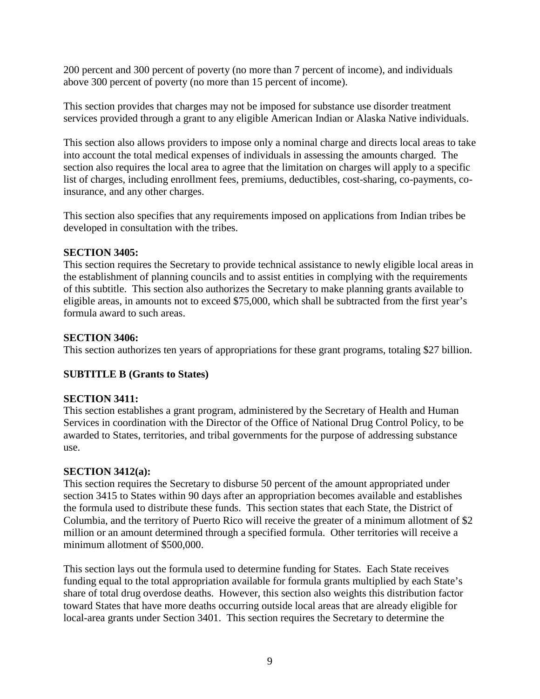200 percent and 300 percent of poverty (no more than 7 percent of income), and individuals above 300 percent of poverty (no more than 15 percent of income).

This section provides that charges may not be imposed for substance use disorder treatment services provided through a grant to any eligible American Indian or Alaska Native individuals.

This section also allows providers to impose only a nominal charge and directs local areas to take into account the total medical expenses of individuals in assessing the amounts charged. The section also requires the local area to agree that the limitation on charges will apply to a specific list of charges, including enrollment fees, premiums, deductibles, cost-sharing, co-payments, coinsurance, and any other charges.

This section also specifies that any requirements imposed on applications from Indian tribes be developed in consultation with the tribes.

## **SECTION 3405:**

This section requires the Secretary to provide technical assistance to newly eligible local areas in the establishment of planning councils and to assist entities in complying with the requirements of this subtitle. This section also authorizes the Secretary to make planning grants available to eligible areas, in amounts not to exceed \$75,000, which shall be subtracted from the first year's formula award to such areas.

## **SECTION 3406:**

This section authorizes ten years of appropriations for these grant programs, totaling \$27 billion.

# **SUBTITLE B (Grants to States)**

# **SECTION 3411:**

This section establishes a grant program, administered by the Secretary of Health and Human Services in coordination with the Director of the Office of National Drug Control Policy, to be awarded to States, territories, and tribal governments for the purpose of addressing substance use.

# **SECTION 3412(a):**

This section requires the Secretary to disburse 50 percent of the amount appropriated under section 3415 to States within 90 days after an appropriation becomes available and establishes the formula used to distribute these funds. This section states that each State, the District of Columbia, and the territory of Puerto Rico will receive the greater of a minimum allotment of \$2 million or an amount determined through a specified formula. Other territories will receive a minimum allotment of \$500,000.

This section lays out the formula used to determine funding for States. Each State receives funding equal to the total appropriation available for formula grants multiplied by each State's share of total drug overdose deaths. However, this section also weights this distribution factor toward States that have more deaths occurring outside local areas that are already eligible for local-area grants under Section 3401. This section requires the Secretary to determine the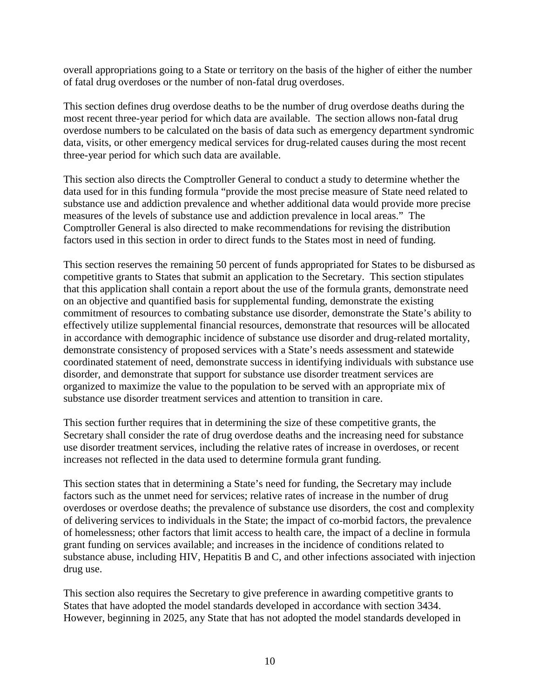overall appropriations going to a State or territory on the basis of the higher of either the number of fatal drug overdoses or the number of non-fatal drug overdoses.

This section defines drug overdose deaths to be the number of drug overdose deaths during the most recent three-year period for which data are available. The section allows non-fatal drug overdose numbers to be calculated on the basis of data such as emergency department syndromic data, visits, or other emergency medical services for drug-related causes during the most recent three-year period for which such data are available.

This section also directs the Comptroller General to conduct a study to determine whether the data used for in this funding formula "provide the most precise measure of State need related to substance use and addiction prevalence and whether additional data would provide more precise measures of the levels of substance use and addiction prevalence in local areas." The Comptroller General is also directed to make recommendations for revising the distribution factors used in this section in order to direct funds to the States most in need of funding.

This section reserves the remaining 50 percent of funds appropriated for States to be disbursed as competitive grants to States that submit an application to the Secretary. This section stipulates that this application shall contain a report about the use of the formula grants, demonstrate need on an objective and quantified basis for supplemental funding, demonstrate the existing commitment of resources to combating substance use disorder, demonstrate the State's ability to effectively utilize supplemental financial resources, demonstrate that resources will be allocated in accordance with demographic incidence of substance use disorder and drug-related mortality, demonstrate consistency of proposed services with a State's needs assessment and statewide coordinated statement of need, demonstrate success in identifying individuals with substance use disorder, and demonstrate that support for substance use disorder treatment services are organized to maximize the value to the population to be served with an appropriate mix of substance use disorder treatment services and attention to transition in care.

This section further requires that in determining the size of these competitive grants, the Secretary shall consider the rate of drug overdose deaths and the increasing need for substance use disorder treatment services, including the relative rates of increase in overdoses, or recent increases not reflected in the data used to determine formula grant funding.

This section states that in determining a State's need for funding, the Secretary may include factors such as the unmet need for services; relative rates of increase in the number of drug overdoses or overdose deaths; the prevalence of substance use disorders, the cost and complexity of delivering services to individuals in the State; the impact of co-morbid factors, the prevalence of homelessness; other factors that limit access to health care, the impact of a decline in formula grant funding on services available; and increases in the incidence of conditions related to substance abuse, including HIV, Hepatitis B and C, and other infections associated with injection drug use.

This section also requires the Secretary to give preference in awarding competitive grants to States that have adopted the model standards developed in accordance with section 3434. However, beginning in 2025, any State that has not adopted the model standards developed in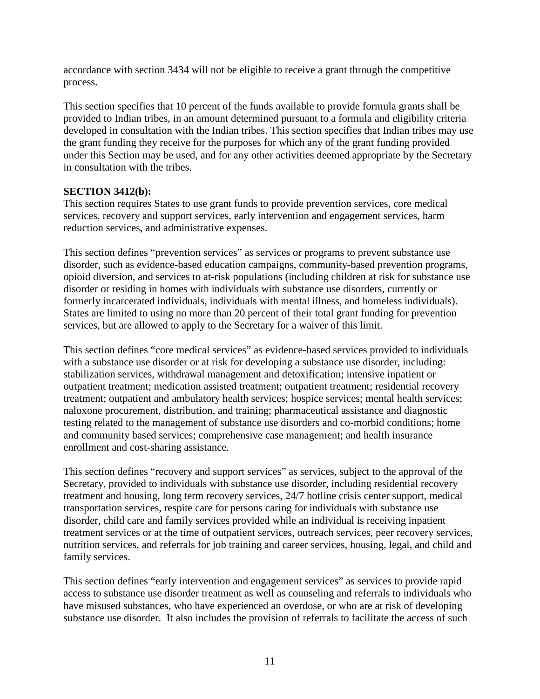accordance with section 3434 will not be eligible to receive a grant through the competitive process.

This section specifies that 10 percent of the funds available to provide formula grants shall be provided to Indian tribes, in an amount determined pursuant to a formula and eligibility criteria developed in consultation with the Indian tribes. This section specifies that Indian tribes may use the grant funding they receive for the purposes for which any of the grant funding provided under this Section may be used, and for any other activities deemed appropriate by the Secretary in consultation with the tribes.

## **SECTION 3412(b):**

This section requires States to use grant funds to provide prevention services, core medical services, recovery and support services, early intervention and engagement services, harm reduction services, and administrative expenses.

This section defines "prevention services" as services or programs to prevent substance use disorder, such as evidence-based education campaigns, community-based prevention programs, opioid diversion, and services to at-risk populations (including children at risk for substance use disorder or residing in homes with individuals with substance use disorders, currently or formerly incarcerated individuals, individuals with mental illness, and homeless individuals). States are limited to using no more than 20 percent of their total grant funding for prevention services, but are allowed to apply to the Secretary for a waiver of this limit.

This section defines "core medical services" as evidence-based services provided to individuals with a substance use disorder or at risk for developing a substance use disorder, including: stabilization services, withdrawal management and detoxification; intensive inpatient or outpatient treatment; medication assisted treatment; outpatient treatment; residential recovery treatment; outpatient and ambulatory health services; hospice services; mental health services; naloxone procurement, distribution, and training; pharmaceutical assistance and diagnostic testing related to the management of substance use disorders and co-morbid conditions; home and community based services; comprehensive case management; and health insurance enrollment and cost-sharing assistance.

This section defines "recovery and support services" as services, subject to the approval of the Secretary, provided to individuals with substance use disorder, including residential recovery treatment and housing, long term recovery services, 24/7 hotline crisis center support, medical transportation services, respite care for persons caring for individuals with substance use disorder, child care and family services provided while an individual is receiving inpatient treatment services or at the time of outpatient services, outreach services, peer recovery services, nutrition services, and referrals for job training and career services, housing, legal, and child and family services.

This section defines "early intervention and engagement services" as services to provide rapid access to substance use disorder treatment as well as counseling and referrals to individuals who have misused substances, who have experienced an overdose, or who are at risk of developing substance use disorder. It also includes the provision of referrals to facilitate the access of such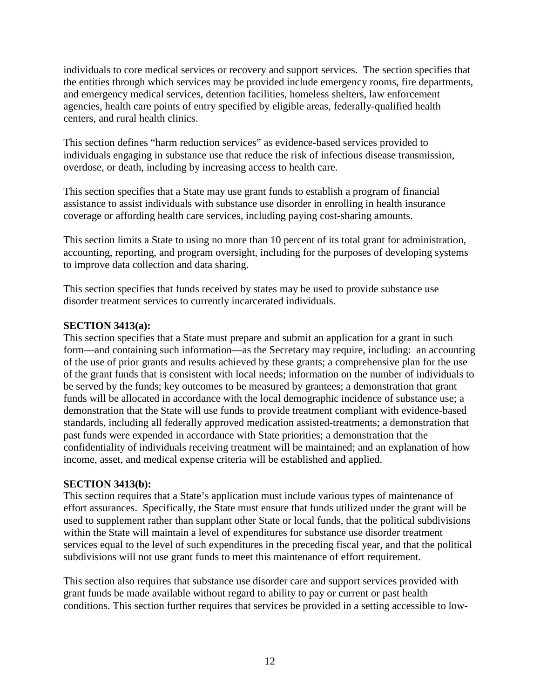individuals to core medical services or recovery and support services. The section specifies that the entities through which services may be provided include emergency rooms, fire departments, and emergency medical services, detention facilities, homeless shelters, law enforcement agencies, health care points of entry specified by eligible areas, federally-qualified health centers, and rural health clinics.

This section defines "harm reduction services" as evidence-based services provided to individuals engaging in substance use that reduce the risk of infectious disease transmission, overdose, or death, including by increasing access to health care.

This section specifies that a State may use grant funds to establish a program of financial assistance to assist individuals with substance use disorder in enrolling in health insurance coverage or affording health care services, including paying cost-sharing amounts.

This section limits a State to using no more than 10 percent of its total grant for administration, accounting, reporting, and program oversight, including for the purposes of developing systems to improve data collection and data sharing.

This section specifies that funds received by states may be used to provide substance use disorder treatment services to currently incarcerated individuals.

## **SECTION 3413(a):**

This section specifies that a State must prepare and submit an application for a grant in such form—and containing such information—as the Secretary may require, including: an accounting of the use of prior grants and results achieved by these grants; a comprehensive plan for the use of the grant funds that is consistent with local needs; information on the number of individuals to be served by the funds; key outcomes to be measured by grantees; a demonstration that grant funds will be allocated in accordance with the local demographic incidence of substance use; a demonstration that the State will use funds to provide treatment compliant with evidence-based standards, including all federally approved medication assisted-treatments; a demonstration that past funds were expended in accordance with State priorities; a demonstration that the confidentiality of individuals receiving treatment will be maintained; and an explanation of how income, asset, and medical expense criteria will be established and applied.

### **SECTION 3413(b):**

This section requires that a State's application must include various types of maintenance of effort assurances. Specifically, the State must ensure that funds utilized under the grant will be used to supplement rather than supplant other State or local funds, that the political subdivisions within the State will maintain a level of expenditures for substance use disorder treatment services equal to the level of such expenditures in the preceding fiscal year, and that the political subdivisions will not use grant funds to meet this maintenance of effort requirement.

This section also requires that substance use disorder care and support services provided with grant funds be made available without regard to ability to pay or current or past health conditions. This section further requires that services be provided in a setting accessible to low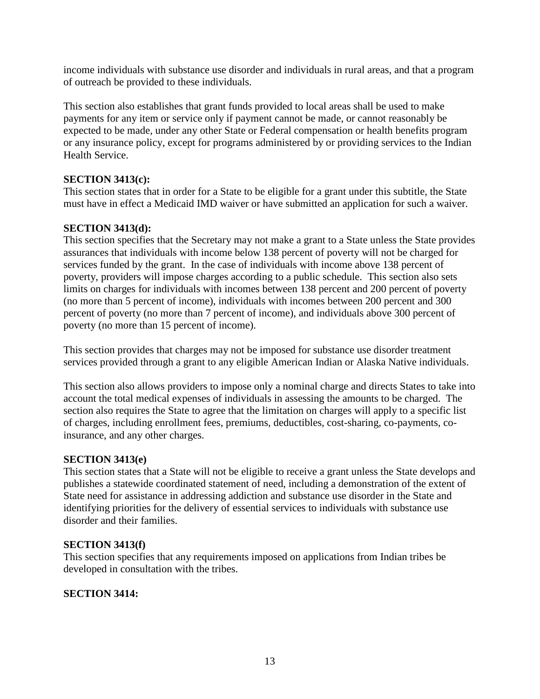income individuals with substance use disorder and individuals in rural areas, and that a program of outreach be provided to these individuals.

This section also establishes that grant funds provided to local areas shall be used to make payments for any item or service only if payment cannot be made, or cannot reasonably be expected to be made, under any other State or Federal compensation or health benefits program or any insurance policy, except for programs administered by or providing services to the Indian Health Service.

# **SECTION 3413(c):**

This section states that in order for a State to be eligible for a grant under this subtitle, the State must have in effect a Medicaid IMD waiver or have submitted an application for such a waiver.

# **SECTION 3413(d):**

This section specifies that the Secretary may not make a grant to a State unless the State provides assurances that individuals with income below 138 percent of poverty will not be charged for services funded by the grant. In the case of individuals with income above 138 percent of poverty, providers will impose charges according to a public schedule. This section also sets limits on charges for individuals with incomes between 138 percent and 200 percent of poverty (no more than 5 percent of income), individuals with incomes between 200 percent and 300 percent of poverty (no more than 7 percent of income), and individuals above 300 percent of poverty (no more than 15 percent of income).

This section provides that charges may not be imposed for substance use disorder treatment services provided through a grant to any eligible American Indian or Alaska Native individuals.

This section also allows providers to impose only a nominal charge and directs States to take into account the total medical expenses of individuals in assessing the amounts to be charged. The section also requires the State to agree that the limitation on charges will apply to a specific list of charges, including enrollment fees, premiums, deductibles, cost-sharing, co-payments, coinsurance, and any other charges.

# **SECTION 3413(e)**

This section states that a State will not be eligible to receive a grant unless the State develops and publishes a statewide coordinated statement of need, including a demonstration of the extent of State need for assistance in addressing addiction and substance use disorder in the State and identifying priorities for the delivery of essential services to individuals with substance use disorder and their families.

# **SECTION 3413(f)**

This section specifies that any requirements imposed on applications from Indian tribes be developed in consultation with the tribes.

# **SECTION 3414:**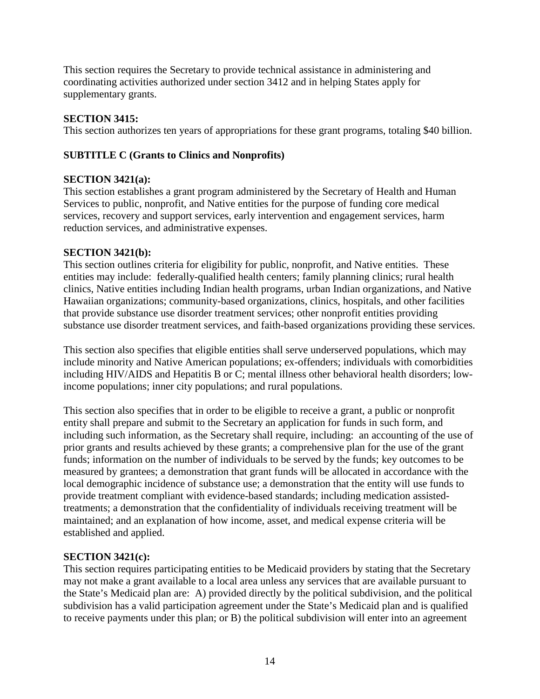This section requires the Secretary to provide technical assistance in administering and coordinating activities authorized under section 3412 and in helping States apply for supplementary grants.

# **SECTION 3415:**

This section authorizes ten years of appropriations for these grant programs, totaling \$40 billion.

# **SUBTITLE C (Grants to Clinics and Nonprofits)**

# **SECTION 3421(a):**

This section establishes a grant program administered by the Secretary of Health and Human Services to public, nonprofit, and Native entities for the purpose of funding core medical services, recovery and support services, early intervention and engagement services, harm reduction services, and administrative expenses.

# **SECTION 3421(b):**

This section outlines criteria for eligibility for public, nonprofit, and Native entities. These entities may include: federally-qualified health centers; family planning clinics; rural health clinics, Native entities including Indian health programs, urban Indian organizations, and Native Hawaiian organizations; community-based organizations, clinics, hospitals, and other facilities that provide substance use disorder treatment services; other nonprofit entities providing substance use disorder treatment services, and faith-based organizations providing these services.

This section also specifies that eligible entities shall serve underserved populations, which may include minority and Native American populations; ex-offenders; individuals with comorbidities including HIV/AIDS and Hepatitis B or C; mental illness other behavioral health disorders; lowincome populations; inner city populations; and rural populations.

This section also specifies that in order to be eligible to receive a grant, a public or nonprofit entity shall prepare and submit to the Secretary an application for funds in such form, and including such information, as the Secretary shall require, including: an accounting of the use of prior grants and results achieved by these grants; a comprehensive plan for the use of the grant funds; information on the number of individuals to be served by the funds; key outcomes to be measured by grantees; a demonstration that grant funds will be allocated in accordance with the local demographic incidence of substance use; a demonstration that the entity will use funds to provide treatment compliant with evidence-based standards; including medication assistedtreatments; a demonstration that the confidentiality of individuals receiving treatment will be maintained; and an explanation of how income, asset, and medical expense criteria will be established and applied.

# **SECTION 3421(c):**

This section requires participating entities to be Medicaid providers by stating that the Secretary may not make a grant available to a local area unless any services that are available pursuant to the State's Medicaid plan are: A) provided directly by the political subdivision, and the political subdivision has a valid participation agreement under the State's Medicaid plan and is qualified to receive payments under this plan; or B) the political subdivision will enter into an agreement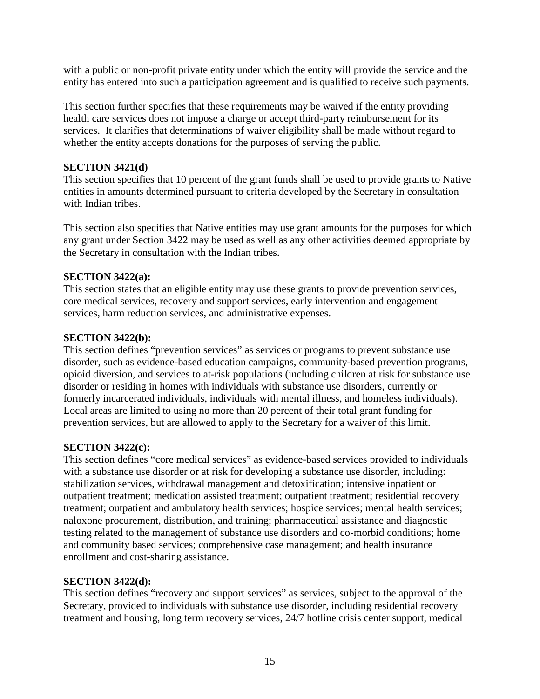with a public or non-profit private entity under which the entity will provide the service and the entity has entered into such a participation agreement and is qualified to receive such payments.

This section further specifies that these requirements may be waived if the entity providing health care services does not impose a charge or accept third-party reimbursement for its services. It clarifies that determinations of waiver eligibility shall be made without regard to whether the entity accepts donations for the purposes of serving the public.

## **SECTION 3421(d)**

This section specifies that 10 percent of the grant funds shall be used to provide grants to Native entities in amounts determined pursuant to criteria developed by the Secretary in consultation with Indian tribes.

This section also specifies that Native entities may use grant amounts for the purposes for which any grant under Section 3422 may be used as well as any other activities deemed appropriate by the Secretary in consultation with the Indian tribes.

## **SECTION 3422(a):**

This section states that an eligible entity may use these grants to provide prevention services, core medical services, recovery and support services, early intervention and engagement services, harm reduction services, and administrative expenses.

### **SECTION 3422(b):**

This section defines "prevention services" as services or programs to prevent substance use disorder, such as evidence-based education campaigns, community-based prevention programs, opioid diversion, and services to at-risk populations (including children at risk for substance use disorder or residing in homes with individuals with substance use disorders, currently or formerly incarcerated individuals, individuals with mental illness, and homeless individuals). Local areas are limited to using no more than 20 percent of their total grant funding for prevention services, but are allowed to apply to the Secretary for a waiver of this limit.

### **SECTION 3422(c):**

This section defines "core medical services" as evidence-based services provided to individuals with a substance use disorder or at risk for developing a substance use disorder, including: stabilization services, withdrawal management and detoxification; intensive inpatient or outpatient treatment; medication assisted treatment; outpatient treatment; residential recovery treatment; outpatient and ambulatory health services; hospice services; mental health services; naloxone procurement, distribution, and training; pharmaceutical assistance and diagnostic testing related to the management of substance use disorders and co-morbid conditions; home and community based services; comprehensive case management; and health insurance enrollment and cost-sharing assistance.

### **SECTION 3422(d):**

This section defines "recovery and support services" as services, subject to the approval of the Secretary, provided to individuals with substance use disorder, including residential recovery treatment and housing, long term recovery services, 24/7 hotline crisis center support, medical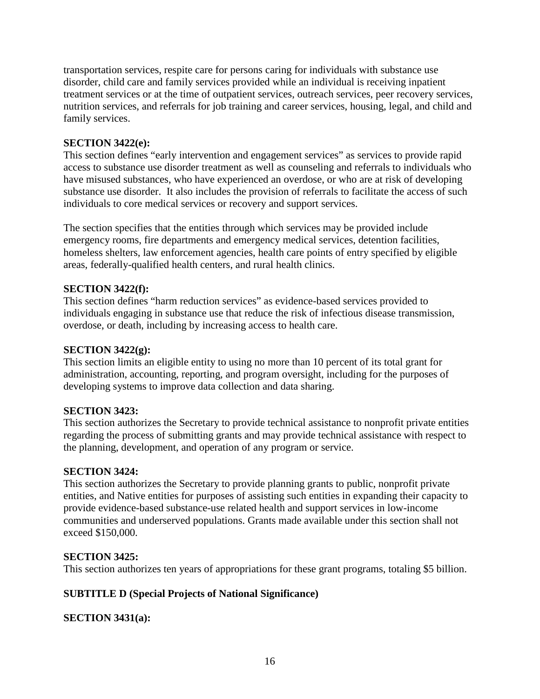transportation services, respite care for persons caring for individuals with substance use disorder, child care and family services provided while an individual is receiving inpatient treatment services or at the time of outpatient services, outreach services, peer recovery services, nutrition services, and referrals for job training and career services, housing, legal, and child and family services.

## **SECTION 3422(e):**

This section defines "early intervention and engagement services" as services to provide rapid access to substance use disorder treatment as well as counseling and referrals to individuals who have misused substances, who have experienced an overdose, or who are at risk of developing substance use disorder. It also includes the provision of referrals to facilitate the access of such individuals to core medical services or recovery and support services.

The section specifies that the entities through which services may be provided include emergency rooms, fire departments and emergency medical services, detention facilities, homeless shelters, law enforcement agencies, health care points of entry specified by eligible areas, federally-qualified health centers, and rural health clinics.

## **SECTION 3422(f):**

This section defines "harm reduction services" as evidence-based services provided to individuals engaging in substance use that reduce the risk of infectious disease transmission, overdose, or death, including by increasing access to health care.

### **SECTION 3422(g):**

This section limits an eligible entity to using no more than 10 percent of its total grant for administration, accounting, reporting, and program oversight, including for the purposes of developing systems to improve data collection and data sharing.

#### **SECTION 3423:**

This section authorizes the Secretary to provide technical assistance to nonprofit private entities regarding the process of submitting grants and may provide technical assistance with respect to the planning, development, and operation of any program or service.

### **SECTION 3424:**

This section authorizes the Secretary to provide planning grants to public, nonprofit private entities, and Native entities for purposes of assisting such entities in expanding their capacity to provide evidence-based substance-use related health and support services in low-income communities and underserved populations. Grants made available under this section shall not exceed \$150,000.

### **SECTION 3425:**

This section authorizes ten years of appropriations for these grant programs, totaling \$5 billion.

### **SUBTITLE D (Special Projects of National Significance)**

**SECTION 3431(a):**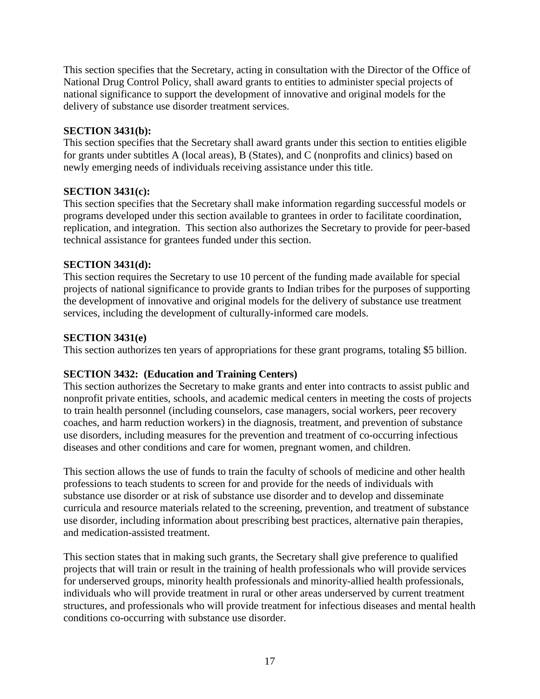This section specifies that the Secretary, acting in consultation with the Director of the Office of National Drug Control Policy, shall award grants to entities to administer special projects of national significance to support the development of innovative and original models for the delivery of substance use disorder treatment services.

## **SECTION 3431(b):**

This section specifies that the Secretary shall award grants under this section to entities eligible for grants under subtitles A (local areas), B (States), and C (nonprofits and clinics) based on newly emerging needs of individuals receiving assistance under this title.

## **SECTION 3431(c):**

This section specifies that the Secretary shall make information regarding successful models or programs developed under this section available to grantees in order to facilitate coordination, replication, and integration. This section also authorizes the Secretary to provide for peer-based technical assistance for grantees funded under this section.

## **SECTION 3431(d):**

This section requires the Secretary to use 10 percent of the funding made available for special projects of national significance to provide grants to Indian tribes for the purposes of supporting the development of innovative and original models for the delivery of substance use treatment services, including the development of culturally-informed care models.

## **SECTION 3431(e)**

This section authorizes ten years of appropriations for these grant programs, totaling \$5 billion.

# **SECTION 3432: (Education and Training Centers)**

This section authorizes the Secretary to make grants and enter into contracts to assist public and nonprofit private entities, schools, and academic medical centers in meeting the costs of projects to train health personnel (including counselors, case managers, social workers, peer recovery coaches, and harm reduction workers) in the diagnosis, treatment, and prevention of substance use disorders, including measures for the prevention and treatment of co-occurring infectious diseases and other conditions and care for women, pregnant women, and children.

This section allows the use of funds to train the faculty of schools of medicine and other health professions to teach students to screen for and provide for the needs of individuals with substance use disorder or at risk of substance use disorder and to develop and disseminate curricula and resource materials related to the screening, prevention, and treatment of substance use disorder, including information about prescribing best practices, alternative pain therapies, and medication-assisted treatment.

This section states that in making such grants, the Secretary shall give preference to qualified projects that will train or result in the training of health professionals who will provide services for underserved groups, minority health professionals and minority-allied health professionals, individuals who will provide treatment in rural or other areas underserved by current treatment structures, and professionals who will provide treatment for infectious diseases and mental health conditions co-occurring with substance use disorder.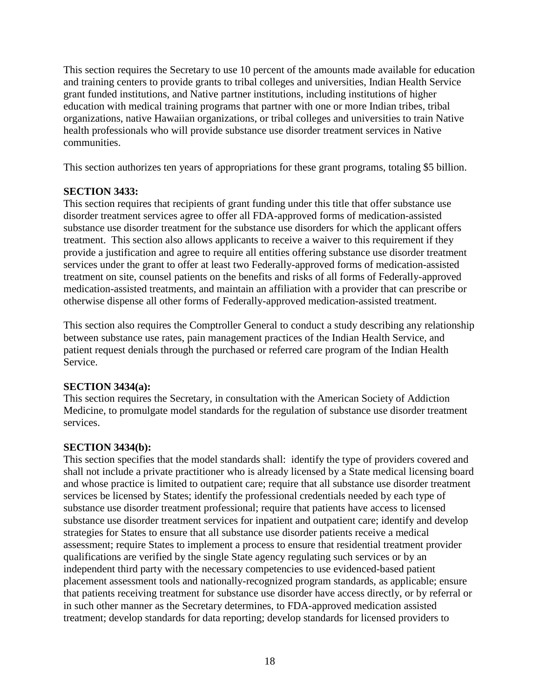This section requires the Secretary to use 10 percent of the amounts made available for education and training centers to provide grants to tribal colleges and universities, Indian Health Service grant funded institutions, and Native partner institutions, including institutions of higher education with medical training programs that partner with one or more Indian tribes, tribal organizations, native Hawaiian organizations, or tribal colleges and universities to train Native health professionals who will provide substance use disorder treatment services in Native communities.

This section authorizes ten years of appropriations for these grant programs, totaling \$5 billion.

## **SECTION 3433:**

This section requires that recipients of grant funding under this title that offer substance use disorder treatment services agree to offer all FDA-approved forms of medication-assisted substance use disorder treatment for the substance use disorders for which the applicant offers treatment. This section also allows applicants to receive a waiver to this requirement if they provide a justification and agree to require all entities offering substance use disorder treatment services under the grant to offer at least two Federally-approved forms of medication-assisted treatment on site, counsel patients on the benefits and risks of all forms of Federally-approved medication-assisted treatments, and maintain an affiliation with a provider that can prescribe or otherwise dispense all other forms of Federally-approved medication-assisted treatment.

This section also requires the Comptroller General to conduct a study describing any relationship between substance use rates, pain management practices of the Indian Health Service, and patient request denials through the purchased or referred care program of the Indian Health Service.

# **SECTION 3434(a):**

This section requires the Secretary, in consultation with the American Society of Addiction Medicine, to promulgate model standards for the regulation of substance use disorder treatment services.

# **SECTION 3434(b):**

This section specifies that the model standards shall: identify the type of providers covered and shall not include a private practitioner who is already licensed by a State medical licensing board and whose practice is limited to outpatient care; require that all substance use disorder treatment services be licensed by States; identify the professional credentials needed by each type of substance use disorder treatment professional; require that patients have access to licensed substance use disorder treatment services for inpatient and outpatient care; identify and develop strategies for States to ensure that all substance use disorder patients receive a medical assessment; require States to implement a process to ensure that residential treatment provider qualifications are verified by the single State agency regulating such services or by an independent third party with the necessary competencies to use evidenced-based patient placement assessment tools and nationally-recognized program standards, as applicable; ensure that patients receiving treatment for substance use disorder have access directly, or by referral or in such other manner as the Secretary determines, to FDA-approved medication assisted treatment; develop standards for data reporting; develop standards for licensed providers to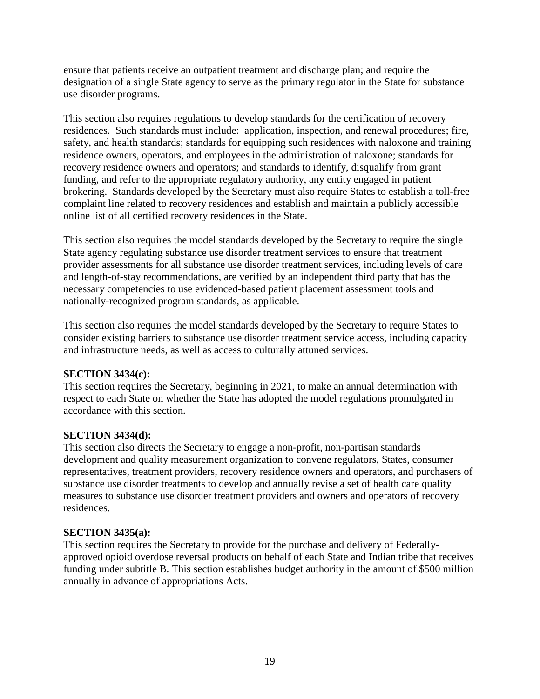ensure that patients receive an outpatient treatment and discharge plan; and require the designation of a single State agency to serve as the primary regulator in the State for substance use disorder programs.

This section also requires regulations to develop standards for the certification of recovery residences. Such standards must include: application, inspection, and renewal procedures; fire, safety, and health standards; standards for equipping such residences with naloxone and training residence owners, operators, and employees in the administration of naloxone; standards for recovery residence owners and operators; and standards to identify, disqualify from grant funding, and refer to the appropriate regulatory authority, any entity engaged in patient brokering. Standards developed by the Secretary must also require States to establish a toll-free complaint line related to recovery residences and establish and maintain a publicly accessible online list of all certified recovery residences in the State.

This section also requires the model standards developed by the Secretary to require the single State agency regulating substance use disorder treatment services to ensure that treatment provider assessments for all substance use disorder treatment services, including levels of care and length-of-stay recommendations, are verified by an independent third party that has the necessary competencies to use evidenced-based patient placement assessment tools and nationally-recognized program standards, as applicable.

This section also requires the model standards developed by the Secretary to require States to consider existing barriers to substance use disorder treatment service access, including capacity and infrastructure needs, as well as access to culturally attuned services.

### **SECTION 3434(c):**

This section requires the Secretary, beginning in 2021, to make an annual determination with respect to each State on whether the State has adopted the model regulations promulgated in accordance with this section.

# **SECTION 3434(d):**

This section also directs the Secretary to engage a non-profit, non-partisan standards development and quality measurement organization to convene regulators, States, consumer representatives, treatment providers, recovery residence owners and operators, and purchasers of substance use disorder treatments to develop and annually revise a set of health care quality measures to substance use disorder treatment providers and owners and operators of recovery residences.

### **SECTION 3435(a):**

This section requires the Secretary to provide for the purchase and delivery of Federallyapproved opioid overdose reversal products on behalf of each State and Indian tribe that receives funding under subtitle B. This section establishes budget authority in the amount of \$500 million annually in advance of appropriations Acts.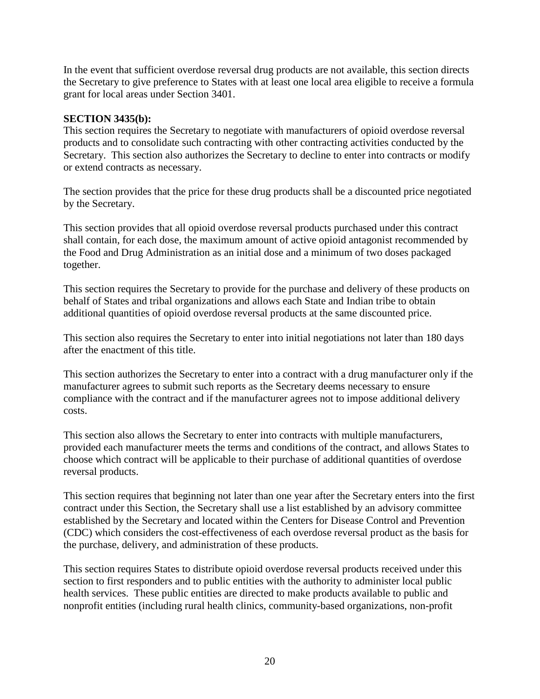In the event that sufficient overdose reversal drug products are not available, this section directs the Secretary to give preference to States with at least one local area eligible to receive a formula grant for local areas under Section 3401.

### **SECTION 3435(b):**

This section requires the Secretary to negotiate with manufacturers of opioid overdose reversal products and to consolidate such contracting with other contracting activities conducted by the Secretary. This section also authorizes the Secretary to decline to enter into contracts or modify or extend contracts as necessary.

The section provides that the price for these drug products shall be a discounted price negotiated by the Secretary.

This section provides that all opioid overdose reversal products purchased under this contract shall contain, for each dose, the maximum amount of active opioid antagonist recommended by the Food and Drug Administration as an initial dose and a minimum of two doses packaged together.

This section requires the Secretary to provide for the purchase and delivery of these products on behalf of States and tribal organizations and allows each State and Indian tribe to obtain additional quantities of opioid overdose reversal products at the same discounted price.

This section also requires the Secretary to enter into initial negotiations not later than 180 days after the enactment of this title.

This section authorizes the Secretary to enter into a contract with a drug manufacturer only if the manufacturer agrees to submit such reports as the Secretary deems necessary to ensure compliance with the contract and if the manufacturer agrees not to impose additional delivery costs.

This section also allows the Secretary to enter into contracts with multiple manufacturers, provided each manufacturer meets the terms and conditions of the contract, and allows States to choose which contract will be applicable to their purchase of additional quantities of overdose reversal products.

This section requires that beginning not later than one year after the Secretary enters into the first contract under this Section, the Secretary shall use a list established by an advisory committee established by the Secretary and located within the Centers for Disease Control and Prevention (CDC) which considers the cost-effectiveness of each overdose reversal product as the basis for the purchase, delivery, and administration of these products.

This section requires States to distribute opioid overdose reversal products received under this section to first responders and to public entities with the authority to administer local public health services. These public entities are directed to make products available to public and nonprofit entities (including rural health clinics, community-based organizations, non-profit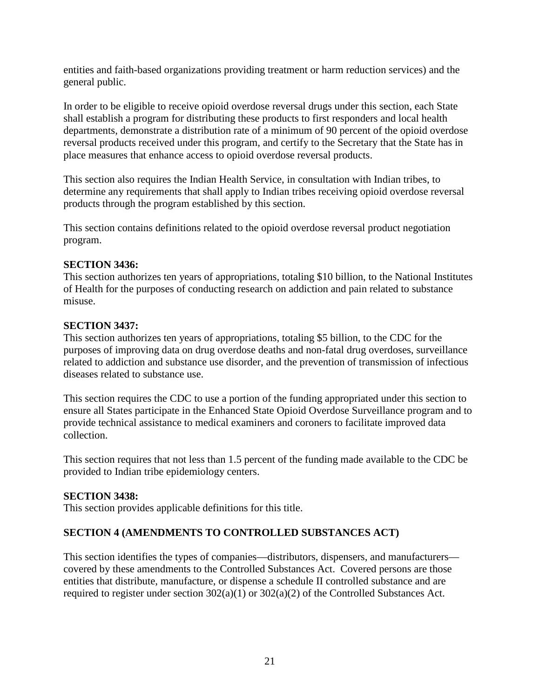entities and faith-based organizations providing treatment or harm reduction services) and the general public.

In order to be eligible to receive opioid overdose reversal drugs under this section, each State shall establish a program for distributing these products to first responders and local health departments, demonstrate a distribution rate of a minimum of 90 percent of the opioid overdose reversal products received under this program, and certify to the Secretary that the State has in place measures that enhance access to opioid overdose reversal products.

This section also requires the Indian Health Service, in consultation with Indian tribes, to determine any requirements that shall apply to Indian tribes receiving opioid overdose reversal products through the program established by this section.

This section contains definitions related to the opioid overdose reversal product negotiation program.

## **SECTION 3436:**

This section authorizes ten years of appropriations, totaling \$10 billion, to the National Institutes of Health for the purposes of conducting research on addiction and pain related to substance misuse.

## **SECTION 3437:**

This section authorizes ten years of appropriations, totaling \$5 billion, to the CDC for the purposes of improving data on drug overdose deaths and non-fatal drug overdoses, surveillance related to addiction and substance use disorder, and the prevention of transmission of infectious diseases related to substance use.

This section requires the CDC to use a portion of the funding appropriated under this section to ensure all States participate in the Enhanced State Opioid Overdose Surveillance program and to provide technical assistance to medical examiners and coroners to facilitate improved data collection.

This section requires that not less than 1.5 percent of the funding made available to the CDC be provided to Indian tribe epidemiology centers.

### **SECTION 3438:**

This section provides applicable definitions for this title.

# **SECTION 4 (AMENDMENTS TO CONTROLLED SUBSTANCES ACT)**

This section identifies the types of companies—distributors, dispensers, and manufacturers covered by these amendments to the Controlled Substances Act. Covered persons are those entities that distribute, manufacture, or dispense a schedule II controlled substance and are required to register under section 302(a)(1) or 302(a)(2) of the Controlled Substances Act.